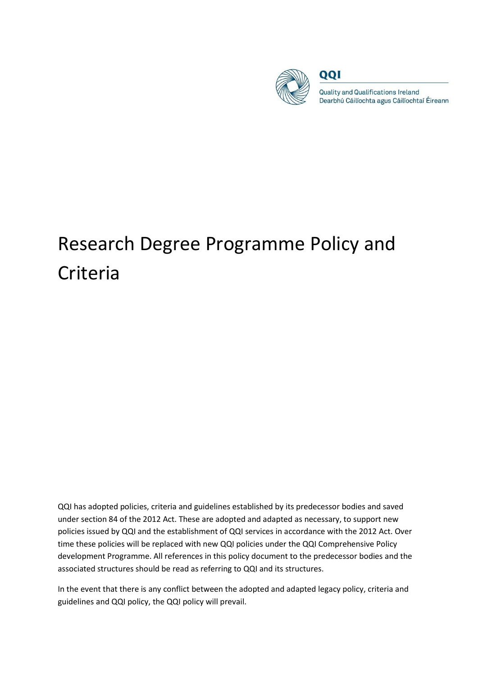

QQI

**Quality and Qualifications Ireland** Dearbhú Cáilíochta agus Cáilíochtaí Éireann

# Research Degree Programme Policy and Criteria

QQI has adopted policies, criteria and guidelines established by its predecessor bodies and saved under section 84 of the 2012 Act. These are adopted and adapted as necessary, to support new policies issued by QQI and the establishment of QQI services in accordance with the 2012 Act. Over time these policies will be replaced with new QQI policies under the QQI Comprehensive Policy development Programme. All references in this policy document to the predecessor bodies and the associated structures should be read as referring to QQI and its structures.

In the event that there is any conflict between the adopted and adapted legacy policy, criteria and guidelines and QQI policy, the QQI policy will prevail.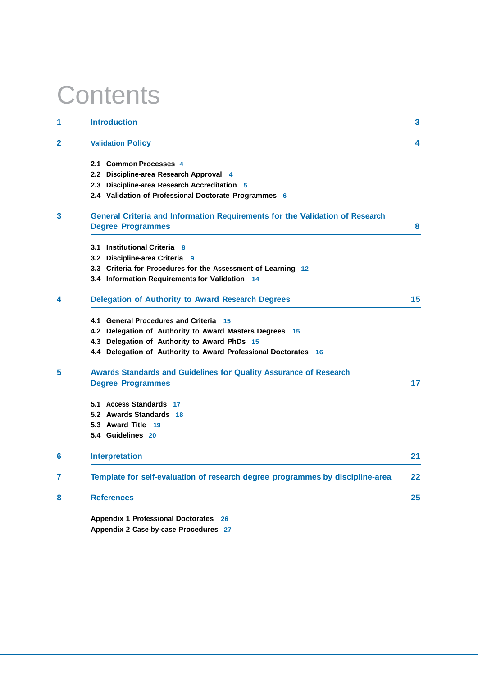# **Contents**

| <b>Introduction</b>                                                           | $\mathbf{3}$ |
|-------------------------------------------------------------------------------|--------------|
| <b>Validation Policy</b>                                                      | 4            |
| 2.1 Common Processes 4                                                        |              |
| 2.2 Discipline-area Research Approval 4                                       |              |
| 2.3 Discipline-area Research Accreditation 5                                  |              |
| 2.4 Validation of Professional Doctorate Programmes 6                         |              |
| General Criteria and Information Requirements for the Validation of Research  |              |
| <b>Degree Programmes</b>                                                      | 8            |
| 3.1 Institutional Criteria 8                                                  |              |
| 3.2 Discipline-area Criteria 9                                                |              |
| 3.3 Criteria for Procedures for the Assessment of Learning 12                 |              |
| 3.4 Information Requirements for Validation 14                                |              |
| <b>Delegation of Authority to Award Research Degrees</b>                      | 15           |
| 4.1 General Procedures and Criteria 15                                        |              |
| 4.2 Delegation of Authority to Award Masters Degrees 15                       |              |
| 4.3 Delegation of Authority to Award PhDs 15                                  |              |
| 4.4 Delegation of Authority to Award Professional Doctorates 16               |              |
| <b>Awards Standards and Guidelines for Quality Assurance of Research</b>      |              |
| <b>Degree Programmes</b>                                                      | 17           |
| 5.1 Access Standards 17                                                       |              |
| 5.2 Awards Standards 18                                                       |              |
| 5.3 Award Title 19                                                            |              |
| 5.4 Guidelines 20                                                             |              |
| <b>Interpretation</b>                                                         | 21           |
| Template for self-evaluation of research degree programmes by discipline-area | 22           |
| <b>References</b>                                                             | 25           |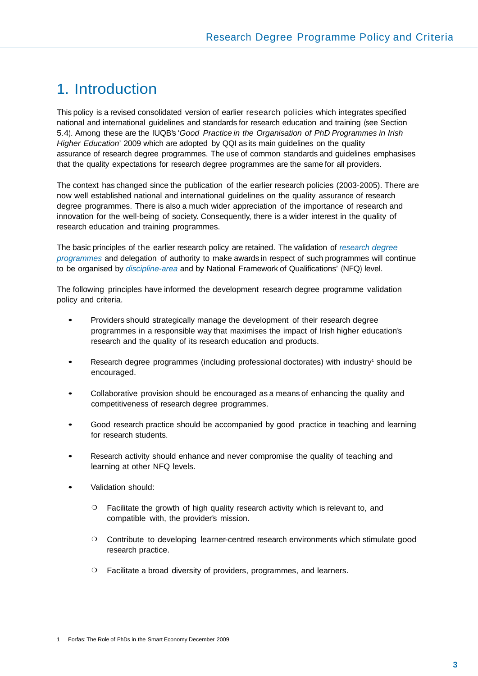## 1. Introduction

This policy is a revised consolidated version of earlier research policies which integrates specified national and international guidelines and standards for research education and training (see Section 5.4). Among these are the IUQB's '*Good Practice in the Organisation of PhD Programmes in Irish Higher Education*' 2009 which are adopted by QQI as its main guidelines on the quality assurance of research degree programmes. The use of common standards and guidelines emphasises that the quality expectations for research degree programmes are the same for all providers.

The context has changed since the publication of the earlier research policies (2003-2005). There are now well established national and international guidelines on the quality assurance of research degree programmes. There is also a much wider appreciation of the importance of research and innovation for the well-being of society. Consequently, there is a wider interest in the quality of research education and training programmes.

The basic principles of the earlier research policy are retained. The validation of *research degree programmes* and delegation of authority to make awards in respect of such programmes will continue to be organised by *discipline-area* and by National Framework of Qualifications' (NFQ) level.

The following principles have informed the development research degree programme validation policy and criteria.

- Providers should strategically manage the development of their research degree programmes in a responsible way that maximises the impact of Irish higher education's research and the quality of its research education and products.
- Research degree programmes (including professional doctorates) with industry<sup>1</sup> should be encouraged.
- Collaborative provision should be encouraged as a means of enhancing the quality and competitiveness of research degree programmes.
- Good research practice should be accompanied by good practice in teaching and learning for research students.
- Research activity should enhance and never compromise the quality of teaching and learning at other NFQ levels.
- Validation should:
	- ❍ Facilitate the growth of high quality research activity which is relevant to, and compatible with, the provider's mission.
	- ❍ Contribute to developing learner-centred research environments which stimulate good research practice.
	- ❍ Facilitate a broad diversity of providers, programmes, and learners.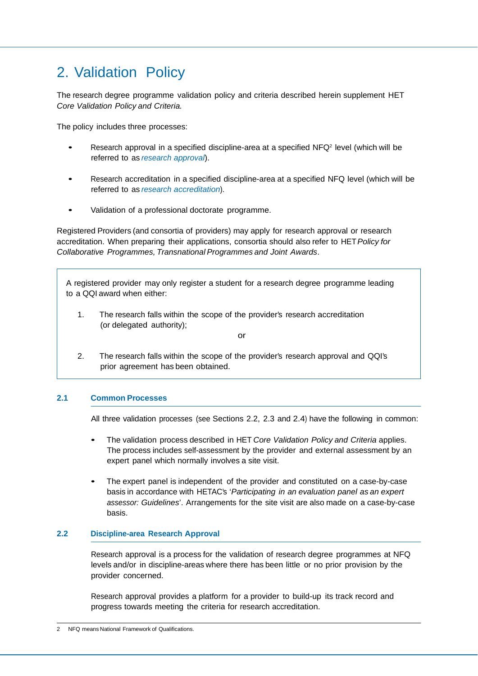### 2. Validation Policy

The research degree programme validation policy and criteria described herein supplement HET *Core Validation Policy and Criteria.*

The policy includes three processes:

- Research approval in a specified discipline-area at a specified  $NFA^2$  level (which will be referred to as *research approval*).
- Research accreditation in a specified discipline-area at a specified NFQ level (which will be referred to as *research accreditation*).
- Validation of a professional doctorate programme.

Registered Providers (and consortia of providers) may apply for research approval or research accreditation. When preparing their applications, consortia should also refer to HET *Policy for Collaborative Programmes, Transnational Programmes and Joint Awards*.

A registered provider may only register a student for a research degree programme leading to a QQI award when either:

1. The research falls within the scope of the provider's research accreditation (or delegated authority);

or

2. The research falls within the scope of the provider's research approval and QQI's prior agreement has been obtained.

#### **2.1 Common Processes**

All three validation processes (see Sections 2.2, 2.3 and 2.4) have the following in common:

- The validation process described in HET *Core Validation Policy and Criteria* applies. The process includes self-assessment by the provider and external assessment by an expert panel which normally involves a site visit.
- The expert panel is independent of the provider and constituted on a case-by-case basis in accordance with HETAC's '*Participating in an evaluation panel as an expert assessor: Guidelines*'. Arrangements for the site visit are also made on a case-by-case basis.

#### **2.2 Discipline-area Research Approval**

Research approval is a process for the validation of research degree programmes at NFQ levels and/or in discipline-areas where there has been little or no prior provision by the provider concerned.

Research approval provides a platform for a provider to build-up its track record and progress towards meeting the criteria for research accreditation.

NFQ means National Framework of Qualifications.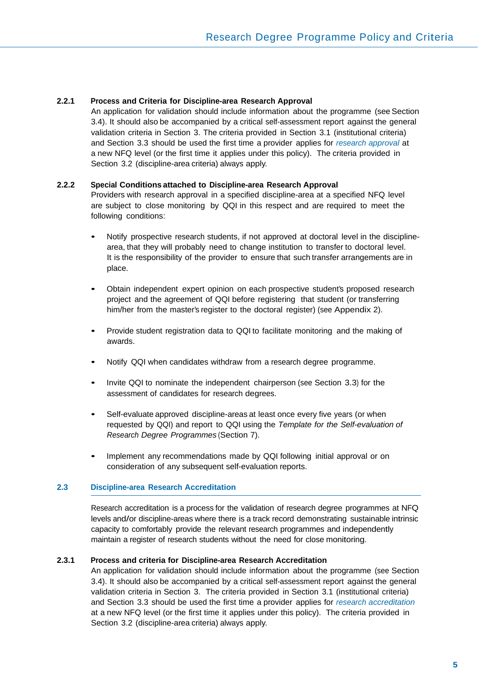#### **2.2.1 Process and Criteria for Discipline-area Research Approval**

An application for validation should include information about the programme (see Section 3.4). It should also be accompanied by a critical self-assessment report against the general validation criteria in Section 3. The criteria provided in Section 3.1 (institutional criteria) and Section 3.3 should be used the first time a provider applies for *research approval* at a new NFQ level (or the first time it applies under this policy). The criteria provided in Section 3.2 (discipline-area criteria) always apply.

#### **2.2.2 Special Conditions attached to Discipline-area Research Approval**

Providers with research approval in a specified discipline-area at a specified NFQ level are subject to close monitoring by QQI in this respect and are required to meet the following conditions:

- Notify prospective research students, if not approved at doctoral level in the disciplinearea, that they will probably need to change institution to transfer to doctoral level. It is the responsibility of the provider to ensure that such transfer arrangements are in place.
- Obtain independent expert opinion on each prospective student's proposed research project and the agreement of QQI before registering that student (or transferring him/her from the master's register to the doctoral register) (see Appendix 2).
- Provide student registration data to QQI to facilitate monitoring and the making of awards.
- Notify QQI when candidates withdraw from a research degree programme.
- Invite QQI to nominate the independent chairperson (see Section 3.3) for the assessment of candidates for research degrees.
- Self-evaluate approved discipline-areas at least once every five years (or when requested by QQI) and report to QQI using the *Template for the Self-evaluation of Research Degree Programmes* (Section 7).
- Implement any recommendations made by QQI following initial approval or on consideration of any subsequent self-evaluation reports.

#### **2.3 Discipline-area Research Accreditation**

Research accreditation is a process for the validation of research degree programmes at NFQ levels and/or discipline-areas where there is a track record demonstrating sustainable intrinsic capacity to comfortably provide the relevant research programmes and independently maintain a register of research students without the need for close monitoring.

#### **2.3.1 Process and criteria for Discipline-area Research Accreditation**

An application for validation should include information about the programme (see Section 3.4). It should also be accompanied by a critical self-assessment report against the general validation criteria in Section 3. The criteria provided in Section 3.1 (institutional criteria) and Section 3.3 should be used the first time a provider applies for *research accreditation*  at a new NFQ level (or the first time it applies under this policy). The criteria provided in Section 3.2 (discipline-area criteria) always apply.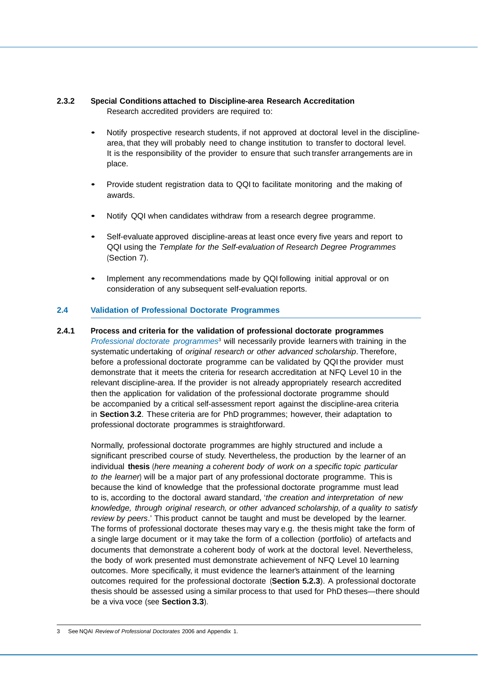#### **2.3.2 Special Conditions attached to Discipline-area Research Accreditation** Research accredited providers are required to:

- Notify prospective research students, if not approved at doctoral level in the disciplinearea, that they will probably need to change institution to transfer to doctoral level. It is the responsibility of the provider to ensure that such transfer arrangements are in place.
- Provide student registration data to QQI to facilitate monitoring and the making of awards.
- Notify QQI when candidates withdraw from a research degree programme.
- Self-evaluate approved discipline-areas at least once every five years and report to QQI using the *Template for the Self-evaluation of Research Degree Programmes*  (Section 7).
- Implement any recommendations made by QQI following initial approval or on consideration of any subsequent self-evaluation reports.

#### **2.4 Validation of Professional Doctorate Programmes**

#### **2.4.1 Process and criteria for the validation of professional doctorate programmes**

*Professional doctorate programmes*3 will necessarily provide learners with training in the systematic undertaking of *original research or other advanced scholarship*. Therefore, before a professional doctorate programme can be validated by QQI the provider must demonstrate that it meets the criteria for research accreditation at NFQ Level 10 in the relevant discipline-area. If the provider is not already appropriately research accredited then the application for validation of the professional doctorate programme should be accompanied by a critical self-assessment report against the discipline-area criteria in **Section 3.2**. These criteria are for PhD programmes; however, their adaptation to professional doctorate programmes is straightforward.

Normally, professional doctorate programmes are highly structured and include a significant prescribed course of study. Nevertheless, the production by the learner of an individual **thesis** (*here meaning a coherent body of work on a specific topic particular to the learner*) will be a major part of any professional doctorate programme. This is because the kind of knowledge that the professional doctorate programme must lead to is, according to the doctoral award standard, '*the creation and interpretation of new knowledge, through original research, or other advanced scholarship, of a quality to satisfy review by peers*.' This product cannot be taught and must be developed by the learner. The forms of professional doctorate theses may vary e.g. the thesis might take the form of a single large document or it may take the form of a collection (portfolio) of artefacts and documents that demonstrate a coherent body of work at the doctoral level. Nevertheless, the body of work presented must demonstrate achievement of NFQ Level 10 learning outcomes. More specifically, it must evidence the learner's attainment of the learning outcomes required for the professional doctorate (**Section 5.2.3**). A professional doctorate thesis should be assessed using a similar process to that used for PhD theses—there should be a viva voce (see **Section 3.3**).

<sup>3</sup> See NQAI *Review of Professional Doctorates* 2006 and Appendix 1.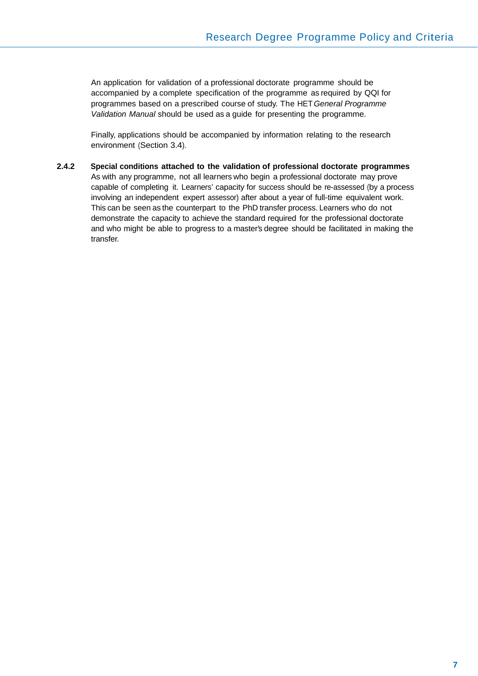An application for validation of a professional doctorate programme should be accompanied by a complete specification of the programme as required by QQI for programmes based on a prescribed course of study. The HET *General Programme Validation Manual* should be used as a guide for presenting the programme.

Finally, applications should be accompanied by information relating to the research environment (Section 3.4).

**2.4.2 Special conditions attached to the validation of professional doctorate programmes**  As with any programme, not all learners who begin a professional doctorate may prove capable of completing it. Learners' capacity for success should be re-assessed (by a process involving an independent expert assessor) after about a year of full-time equivalent work. This can be seen as the counterpart to the PhD transfer process. Learners who do not demonstrate the capacity to achieve the standard required for the professional doctorate and who might be able to progress to a master's degree should be facilitated in making the transfer.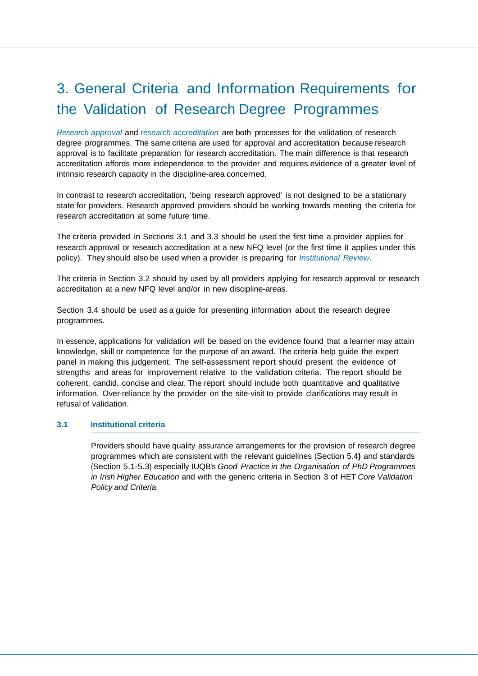# 3. General Criteria and Information Requirements for the Validation of Research Degree Programmes

*Research approval* and *research accreditation* are both processes for the validation of research degree programmes. The same criteria are used for approval and accreditation because research approval is to facilitate preparation for research accreditation. The main difference is that research accreditation affords more independence to the provider and requires evidence of a greater level of intrinsic research capacity in the discipline-area concerned.

In contrast to research accreditation, 'being research approved' is not designed to be a stationary state for providers. Research approved providers should be working towards meeting the criteria for research accreditation at some future time.

The criteria provided in Sections 3.1 and 3.3 should be used the first time a provider applies for research approval or research accreditation at a new NFQ level (or the first time it applies under this policy). They should also be used when a provider is preparing for *Institutional Review*.

The criteria in Section 3.2 should by used by all providers applying for research approval or research accreditation at a new NFQ level and/or in new discipline-areas.

Section 3.4 should be used as a guide for presenting information about the research degree programmes.

In essence, applications for validation will be based on the evidence found that a learner may attain knowledge, skill or competence for the purpose of an award. The criteria help guide the expert panel in making this judgement. The self-assessment report should present the evidence of strengths and areas for improvement relative to the validation criteria. The report should be coherent, candid, concise and clear. The report should include both quantitative and qualitative information. Over-reliance by the provider on the site-visit to provide clarifications may result in refusal of validation.

#### **3.1 Institutional criteria**

Providers should have quality assurance arrangements for the provision of research degree programmes which are consistent with the relevant guidelines (Section 5.4**)** and standards (Section 5.1-5.3) especially IUQB's *Good Practice in the Organisation of PhD Programmes in Irish Higher Education* and with the generic criteria in Section 3 of HET *Core Validation Policy and Criteria.*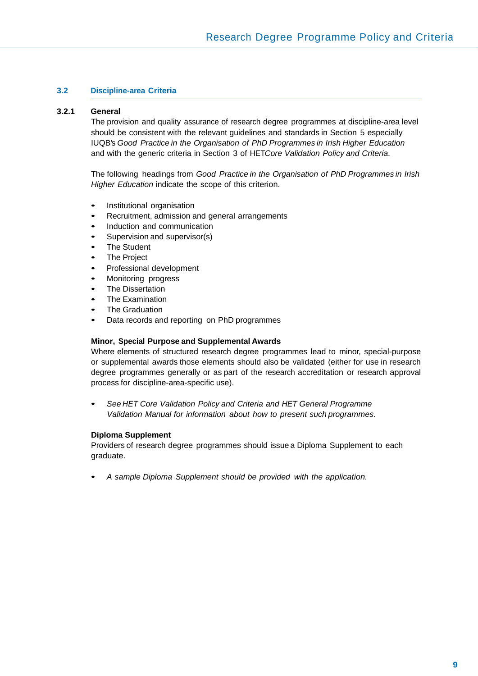#### **3.2 Discipline-area Criteria**

#### **3.2.1 General**

The provision and quality assurance of research degree programmes at discipline-area level should be consistent with the relevant guidelines and standards in Section 5 especially IUQB's *Good Practice in the Organisation of PhD Programmes in Irish Higher Education* and with the generic criteria in Section 3 of HET*Core Validation Policy and Criteria*.

The following headings from *Good Practice in the Organisation of PhD Programmes in Irish Higher Education* indicate the scope of this criterion.

- Institutional organisation
- Recruitment, admission and general arrangements
- Induction and communication
- Supervision and supervisor(s)
- **The Student**
- The Project
- Professional development
- Monitoring progress
- The Dissertation
- The Examination
- **The Graduation**
- Data records and reporting on PhD programmes

#### **Minor, Special Purpose and Supplemental Awards**

Where elements of structured research degree programmes lead to minor, special-purpose or supplemental awards those elements should also be validated (either for use in research degree programmes generally or as part of the research accreditation or research approval process for discipline-area-specific use).

• *See HET Core Validation Policy and Criteria and HET General Programme Validation Manual for information about how to present such programmes.*

#### **Diploma Supplement**

Providers of research degree programmes should issue a Diploma Supplement to each graduate.

• *A sample Diploma Supplement should be provided with the application.*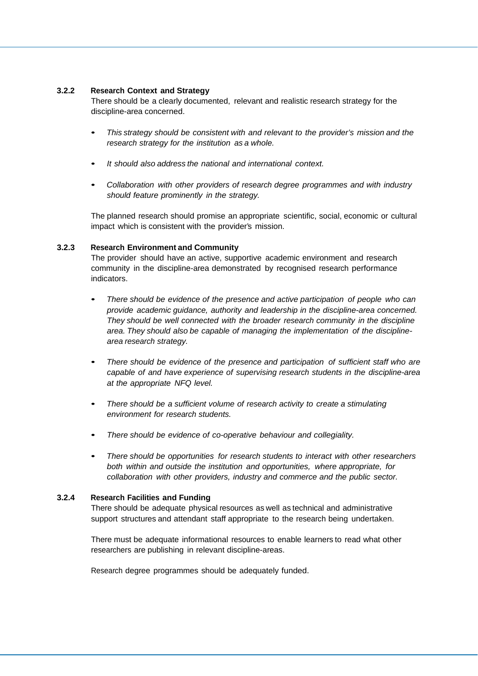#### **3.2.2 Research Context and Strategy**

There should be a clearly documented, relevant and realistic research strategy for the discipline-area concerned.

- *This strategy should be consistent with and relevant to the provider's mission and the research strategy for the institution as a whole.*
- *It should also address the national and international context.*
- *Collaboration with other providers of research degree programmes and with industry should feature prominently in the strategy.*

The planned research should promise an appropriate scientific, social, economic or cultural impact which is consistent with the provider's mission.

#### **3.2.3 Research Environment and Community**

The provider should have an active, supportive academic environment and research community in the discipline-area demonstrated by recognised research performance indicators.

- *There should be evidence of the presence and active participation of people who can provide academic guidance, authority and leadership in the discipline-area concerned. They should be well connected with the broader research community in the discipline area. They should also be capable of managing the implementation of the disciplinearea research strategy.*
- *There should be evidence of the presence and participation of sufficient staff who are capable of and have experience of supervising research students in the discipline-area at the appropriate NFQ level.*
- *There should be a sufficient volume of research activity to create a stimulating environment for research students.*
- *There should be evidence of co-operative behaviour and collegiality.*
- *There should be opportunities for research students to interact with other researchers both within and outside the institution and opportunities, where appropriate, for collaboration with other providers, industry and commerce and the public sector.*

#### **3.2.4 Research Facilities and Funding**

There should be adequate physical resources as well as technical and administrative support structures and attendant staff appropriate to the research being undertaken.

There must be adequate informational resources to enable learners to read what other researchers are publishing in relevant discipline-areas.

Research degree programmes should be adequately funded.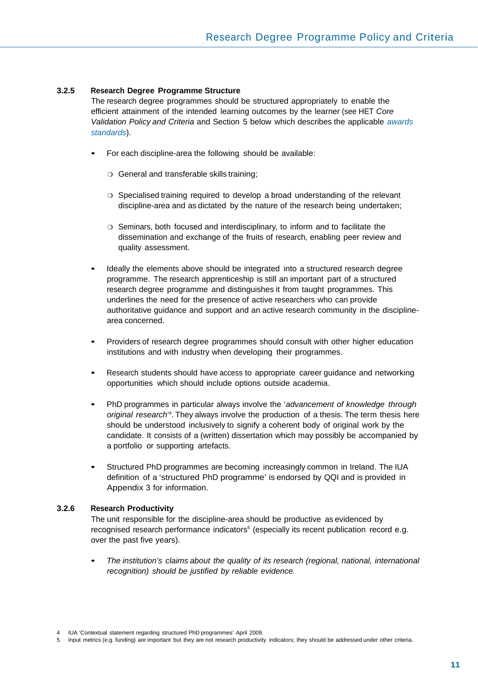#### **3.2.5 Research Degree Programme Structure**

The research degree programmes should be structured appropriately to enable the efficient attainment of the intended learning outcomes by the learner (see HET *Core Validation Policy and Criteria* and Section 5 below which describes the applicable *awards standards*).

- For each discipline-area the following should be available:
	- ❍ General and transferable skills training;
	- ❍ Specialised training required to develop a broad understanding of the relevant discipline-area and as dictated by the nature of the research being undertaken;
	- ❍ Seminars, both focused and interdisciplinary, to inform and to facilitate the dissemination and exchange of the fruits of research, enabling peer review and quality assessment.
- Ideally the elements above should be integrated into a structured research degree programme. The research apprenticeship is still an important part of a structured research degree programme and distinguishes it from taught programmes. This underlines the need for the presence of active researchers who can provide authoritative guidance and support and an active research community in the disciplinearea concerned.
- Providers of research degree programmes should consult with other higher education institutions and with industry when developing their programmes.
- Research students should have access to appropriate career guidance and networking opportunities which should include options outside academia.
- PhD programmes in particular always involve the '*advancement of knowledge through*  original research<sup>'4</sup>. They always involve the production of a thesis. The term thesis here should be understood inclusively to signify a coherent body of original work by the candidate. It consists of a (written) dissertation which may possibly be accompanied by a portfolio or supporting artefacts.
- Structured PhD programmes are becoming increasingly common in Ireland. The IUA definition of a 'structured PhD programme' is endorsed by QQI and is provided in Appendix 3 for information.

#### **3.2.6 Research Productivity**

The unit responsible for the discipline-area should be productive as evidenced by recognised research performance indicators<sup>5</sup> (especially its recent publication record e.g. over the past five years).

• *The institution's claims about the quality of its research (regional, national, international recognition) should be justified by reliable evidence.*

<sup>4</sup> IUA 'Contextual statement regarding structured PhD programmes' April 2009.

Input metrics (e.g. funding) are important but they are not research productivity indicators; they should be addressed under other criteria.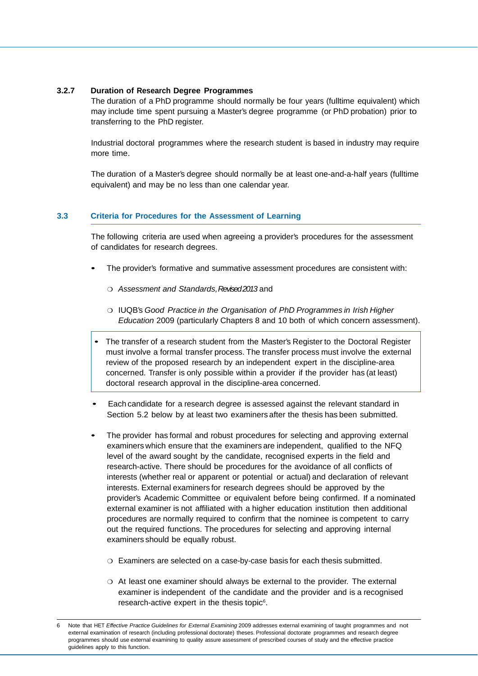#### **3.2.7 Duration of Research Degree Programmes**

The duration of a PhD programme should normally be four years (fulltime equivalent) which may include time spent pursuing a Master's degree programme (or PhD probation) prior to transferring to the PhD register.

Industrial doctoral programmes where the research student is based in industry may require more time.

The duration of a Master's degree should normally be at least one-and-a-half years (fulltime equivalent) and may be no less than one calendar year.

#### **3.3 Criteria for Procedures for the Assessment of Learning**

The following criteria are used when agreeing a provider's procedures for the assessment of candidates for research degrees.

- The provider's formative and summative assessment procedures are consistent with:
	- ❍ *Assessment and Standards, Revised 2013* and
	- ❍ IUQB's *Good Practice in the Organisation of PhD Programmes in Irish Higher Education* 2009 (particularly Chapters 8 and 10 both of which concern assessment).
- The transfer of a research student from the Master's Register to the Doctoral Register must involve a formal transfer process. The transfer process must involve the external review of the proposed research by an independent expert in the discipline-area concerned. Transfer is only possible within a provider if the provider has (at least) doctoral research approval in the discipline-area concerned.
- Each candidate for a research degree is assessed against the relevant standard in Section 5.2 below by at least two examiners after the thesis has been submitted.
- The provider has formal and robust procedures for selecting and approving external examiners which ensure that the examiners are independent, qualified to the NFQ level of the award sought by the candidate, recognised experts in the field and research-active. There should be procedures for the avoidance of all conflicts of interests (whether real or apparent or potential or actual) and declaration of relevant interests. External examiners for research degrees should be approved by the provider's Academic Committee or equivalent before being confirmed. If a nominated external examiner is not affiliated with a higher education institution then additional procedures are normally required to confirm that the nominee is competent to carry out the required functions. The procedures for selecting and approving internal examiners should be equally robust.
	- ❍ Examiners are selected on a case-by-case basis for each thesis submitted.
	- ❍ At least one examiner should always be external to the provider. The external examiner is independent of the candidate and the provider and is a recognised research-active expert in the thesis topic<sup>6</sup>.

<sup>6</sup> Note that HET *Effective Practice Guidelines for External Examining* 2009 addresses external examining of taught programmes and not external examination of research (including professional doctorate) theses. Professional doctorate programmes and research degree programmes should use external examining to quality assure assessment of prescribed courses of study and the effective practice guidelines apply to this function.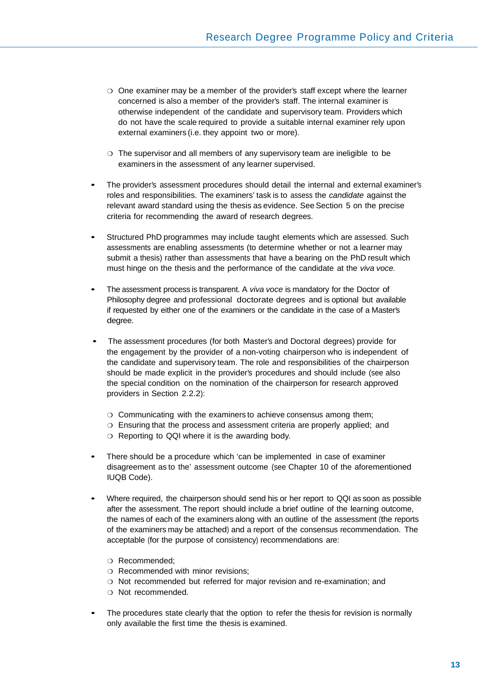- ❍ One examiner may be a member of the provider's staff except where the learner concerned is also a member of the provider's staff. The internal examiner is otherwise independent of the candidate and supervisory team. Providers which do not have the scale required to provide a suitable internal examiner rely upon external examiners (i.e. they appoint two or more).
- ❍ The supervisor and all members of any supervisory team are ineligible to be examiners in the assessment of any learner supervised.
- The provider's assessment procedures should detail the internal and external examiner's roles and responsibilities. The examiners' task is to assess the *candidate* against the relevant award standard using the thesis as evidence. See Section 5 on the precise criteria for recommending the award of research degrees.
- Structured PhD programmes may include taught elements which are assessed. Such assessments are enabling assessments (to determine whether or not a learner may submit a thesis) rather than assessments that have a bearing on the PhD result which must hinge on the thesis and the performance of the candidate at the *viva voce.*
- The assessment process is transparent. A *viva voce* is mandatory for the Doctor of Philosophy degree and professional doctorate degrees and is optional but available if requested by either one of the examiners or the candidate in the case of a Master's degree.
- The assessment procedures (for both Master's and Doctoral degrees) provide for the engagement by the provider of a non-voting chairperson who is independent of the candidate and supervisory team. The role and responsibilities of the chairperson should be made explicit in the provider's procedures and should include (see also the special condition on the nomination of the chairperson for research approved providers in Section 2.2.2):
	- ❍ Communicating with the examiners to achieve consensus among them;
	- ❍ Ensuring that the process and assessment criteria are properly applied; and
	- ❍ Reporting to QQI where it is the awarding body.
- There should be a procedure which 'can be implemented in case of examiner disagreement as to the' assessment outcome (see Chapter 10 of the aforementioned IUQB Code).
- Where required, the chairperson should send his or her report to QQI as soon as possible after the assessment. The report should include a brief outline of the learning outcome, the names of each of the examiners along with an outline of the assessment (the reports of the examiners may be attached) and a report of the consensus recommendation. The acceptable (for the purpose of consistency) recommendations are:
	- ❍ Recommended;
	- ❍ Recommended with minor revisions;
	- ❍ Not recommended but referred for major revision and re-examination; and
	- ❍ Not recommended.
- The procedures state clearly that the option to refer the thesis for revision is normally only available the first time the thesis is examined.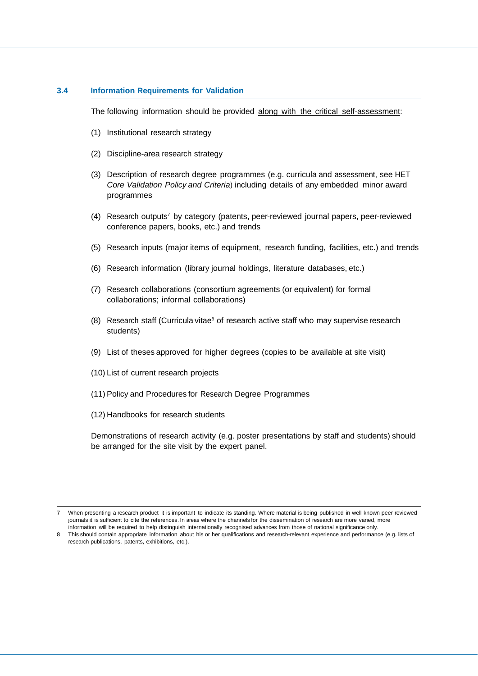#### **3.4 Information Requirements for Validation**

The following information should be provided along with the critical self-assessment:

- (1) Institutional research strategy
- (2) Discipline-area research strategy
- (3) Description of research degree programmes (e.g. curricula and assessment, see HET *Core Validation Policy and Criteria*) including details of any embedded minor award programmes
- (4) Research outputs7 by category (patents, peer-reviewed journal papers, peer-reviewed conference papers, books, etc.) and trends
- (5) Research inputs (major items of equipment, research funding, facilities, etc.) and trends
- (6) Research information (library journal holdings, literature databases, etc.)
- (7) Research collaborations (consortium agreements (or equivalent) for formal collaborations; informal collaborations)
- (8) Research staff (Curricula vitae<sup>8</sup> of research active staff who may supervise research students)
- (9) List of theses approved for higher degrees (copies to be available at site visit)
- (10) List of current research projects
- (11) Policy and Procedures for Research Degree Programmes
- (12) Handbooks for research students

Demonstrations of research activity (e.g. poster presentations by staff and students) should be arranged for the site visit by the expert panel.

<sup>7</sup> When presenting a research product it is important to indicate its standing. Where material is being published in well known peer reviewed journals it is sufficient to cite the references. In areas where the channels for the dissemination of research are more varied, more information will be required to help distinguish internationally recognised advances from those of national significance only.

<sup>8</sup> This should contain appropriate information about his or her qualifications and research-relevant experience and performance (e.g. lists of research publications, patents, exhibitions, etc.).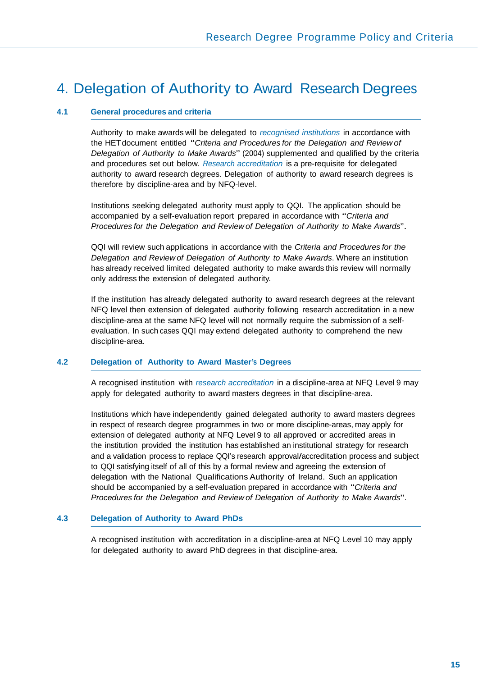### 4. Delegation of Authority to Award Research Degrees

#### **4.1 General procedures and criteria**

Authority to make awards will be delegated to *recognised institutions* in accordance with the HET document entitled "*Criteria and Procedures for the Delegation and Review of Delegation of Authority to Make Awards*" (2004) supplemented and qualified by the criteria and procedures set out below. *Research accreditation* is a pre-requisite for delegated authority to award research degrees. Delegation of authority to award research degrees is therefore by discipline-area and by NFQ-level.

Institutions seeking delegated authority must apply to QQI. The application should be accompanied by a self-evaluation report prepared in accordance with "*Criteria and Procedures for the Delegation and Review of Delegation of Authority to Make Awards*".

QQI will review such applications in accordance with the *Criteria and Procedures for the Delegation and Review of Delegation of Authority to Make Awards*. Where an institution has already received limited delegated authority to make awards this review will normally only address the extension of delegated authority.

If the institution has already delegated authority to award research degrees at the relevant NFQ level then extension of delegated authority following research accreditation in a new discipline-area at the same NFQ level will not normally require the submission of a selfevaluation. In such cases QQI may extend delegated authority to comprehend the new discipline-area.

#### **4.2 Delegation of Authority to Award Master's Degrees**

A recognised institution with *research accreditation* in a discipline-area at NFQ Level 9 may apply for delegated authority to award masters degrees in that discipline-area.

Institutions which have independently gained delegated authority to award masters degrees in respect of research degree programmes in two or more discipline-areas, may apply for extension of delegated authority at NFQ Level 9 to all approved or accredited areas in the institution provided the institution has established an institutional strategy for research and a validation process to replace QQI's research approval/accreditation process and subject to QQI satisfying itself of all of this by a formal review and agreeing the extension of delegation with the National Qualifications Authority of Ireland. Such an application should be accompanied by a self-evaluation prepared in accordance with "*Criteria and Procedures for the Delegation and Review of Delegation of Authority to Make Awards*".

#### **4.3 Delegation of Authority to Award PhDs**

for delegated authority to award PhD degrees in that discipline-area. A recognised institution with accreditation in a discipline-area at NFQ Level 10 may apply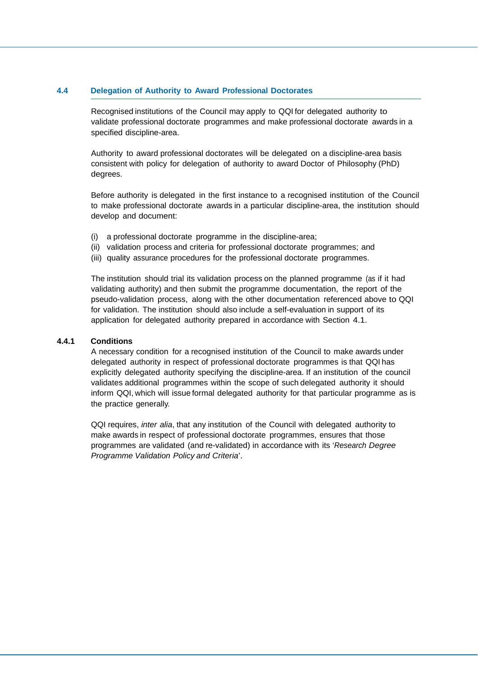#### **4.4 Delegation of Authority to Award Professional Doctorates**

Recognised institutions of the Council may apply to QQI for delegated authority to validate professional doctorate programmes and make professional doctorate awards in a specified discipline-area.

Authority to award professional doctorates will be delegated on a discipline-area basis consistent with policy for delegation of authority to award Doctor of Philosophy (PhD) degrees.

Before authority is delegated in the first instance to a recognised institution of the Council to make professional doctorate awards in a particular discipline-area, the institution should develop and document:

- (i) a professional doctorate programme in the discipline-area;
- (ii) validation process and criteria for professional doctorate programmes; and
- (iii) quality assurance procedures for the professional doctorate programmes.

The institution should trial its validation process on the planned programme (as if it had validating authority) and then submit the programme documentation, the report of the pseudo-validation process, along with the other documentation referenced above to QQI for validation. The institution should also include a self-evaluation in support of its application for delegated authority prepared in accordance with Section 4.1.

#### **4.4.1 Conditions**

A necessary condition for a recognised institution of the Council to make awards under delegated authority in respect of professional doctorate programmes is that QQI has explicitly delegated authority specifying the discipline-area. If an institution of the council validates additional programmes within the scope of such delegated authority it should inform QQI, which will issue formal delegated authority for that particular programme as is the practice generally.

QQI requires, *inter alia*, that any institution of the Council with delegated authority to make awards in respect of professional doctorate programmes, ensures that those programmes are validated (and re-validated) in accordance with its '*Research Degree Programme Validation Policy and Criteria*'.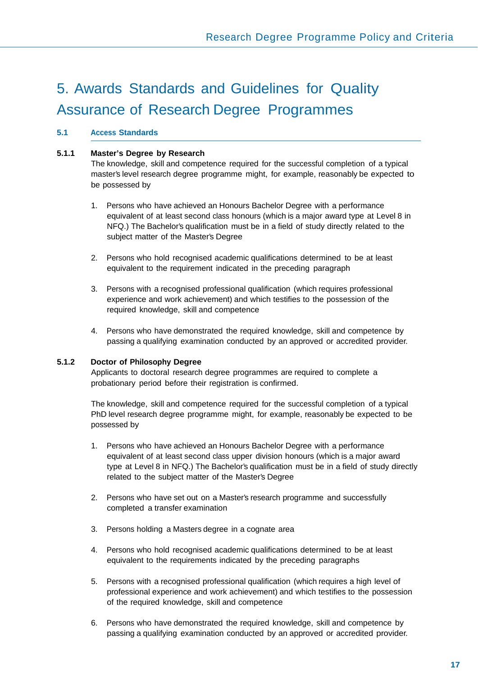# 5. Awards Standards and Guidelines for Quality Assurance of Research Degree Programmes

#### **5.1 Access Standards**

#### **5.1.1 Master's Degree by Research**

The knowledge, skill and competence required for the successful completion of a typical master's level research degree programme might, for example, reasonably be expected to be possessed by

- 1. Persons who have achieved an Honours Bachelor Degree with a performance equivalent of at least second class honours (which is a major award type at Level 8 in NFQ.) The Bachelor's qualification must be in a field of study directly related to the subject matter of the Master's Degree
- 2. Persons who hold recognised academic qualifications determined to be at least equivalent to the requirement indicated in the preceding paragraph
- 3. Persons with a recognised professional qualification (which requires professional experience and work achievement) and which testifies to the possession of the required knowledge, skill and competence
- 4. Persons who have demonstrated the required knowledge, skill and competence by passing a qualifying examination conducted by an approved or accredited provider.

#### **5.1.2 Doctor of Philosophy Degree**

Applicants to doctoral research degree programmes are required to complete a probationary period before their registration is confirmed.

The knowledge, skill and competence required for the successful completion of a typical PhD level research degree programme might, for example, reasonably be expected to be possessed by

- 1. Persons who have achieved an Honours Bachelor Degree with a performance equivalent of at least second class upper division honours (which is a major award type at Level 8 in NFQ.) The Bachelor's qualification must be in a field of study directly related to the subject matter of the Master's Degree
- 2. Persons who have set out on a Master's research programme and successfully completed a transfer examination
- 3. Persons holding a Masters degree in a cognate area
- 4. Persons who hold recognised academic qualifications determined to be at least equivalent to the requirements indicated by the preceding paragraphs
- 5. Persons with a recognised professional qualification (which requires a high level of professional experience and work achievement) and which testifies to the possession of the required knowledge, skill and competence
- 6. Persons who have demonstrated the required knowledge, skill and competence by passing a qualifying examination conducted by an approved or accredited provider.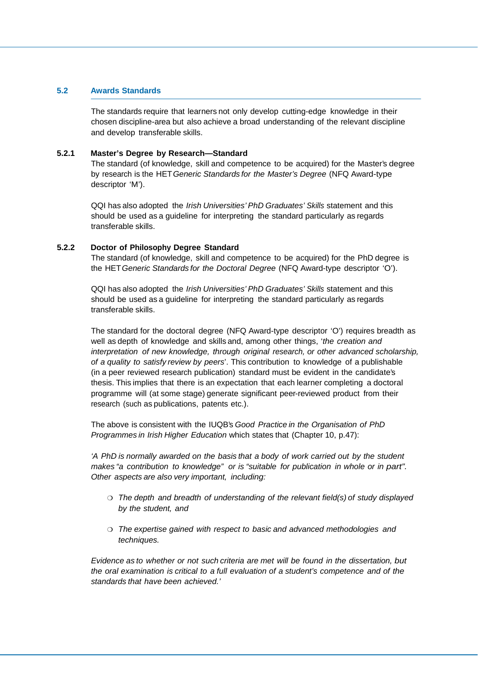#### **5.2 Awards Standards**

The standards require that learners not only develop cutting-edge knowledge in their chosen discipline-area but also achieve a broad understanding of the relevant discipline and develop transferable skills.

#### **5.2.1 Master's Degree by Research—Standard**

The standard (of knowledge, skill and competence to be acquired) for the Master's degree by research is the HET *Generic Standards for the Master's Degree* (NFQ Award-type descriptor 'M').

QQI has also adopted the *Irish Universities' PhD Graduates' Skills* statement and this should be used as a guideline for interpreting the standard particularly as regards transferable skills.

#### **5.2.2 Doctor of Philosophy Degree Standard**

The standard (of knowledge, skill and competence to be acquired) for the PhD degree is the HET *Generic Standards for the Doctoral Degree* (NFQ Award-type descriptor 'O').

QQI has also adopted the *Irish Universities' PhD Graduates' Skills* statement and this should be used as a guideline for interpreting the standard particularly as regards transferable skills.

The standard for the doctoral degree (NFQ Award-type descriptor 'O') requires breadth as well as depth of knowledge and skills and, among other things, '*the creation and interpretation of new knowledge, through original research, or other advanced scholarship, of a quality to satisfy review by peers*'. This contribution to knowledge of a publishable (in a peer reviewed research publication) standard must be evident in the candidate's thesis. This implies that there is an expectation that each learner completing a doctoral programme will (at some stage) generate significant peer-reviewed product from their research (such as publications, patents etc.).

The above is consistent with the IUQB's *Good Practice in the Organisation of PhD Programmes in Irish Higher Education* which states that (Chapter 10, p.47):

*'A PhD is normally awarded on the basis that a body of work carried out by the student makes "a contribution to knowledge" or is "suitable for publication in whole or in part". Other aspects are also very important, including:*

- ❍ *The depth and breadth of understanding of the relevant field(s) of study displayed by the student, and*
- ❍ *The expertise gained with respect to basic and advanced methodologies and techniques.*

*Evidence as to whether or not such criteria are met will be found in the dissertation, but the oral examination is critical to a full evaluation of a student's competence and of the standards that have been achieved.'*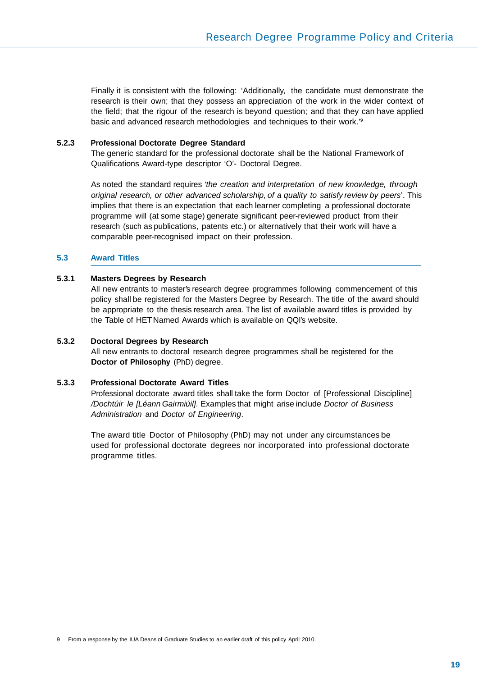Finally it is consistent with the following: 'Additionally, the candidate must demonstrate the research is their own; that they possess an appreciation of the work in the wider context of the field; that the rigour of the research is beyond question; and that they can have applied basic and advanced research methodologies and techniques to their work.'9

#### **5.2.3 Professional Doctorate Degree Standard**

The generic standard for the professional doctorate shall be the National Framework of Qualifications Award-type descriptor 'O'- Doctoral Degree.

As noted the standard requires *'the creation and interpretation of new knowledge, through original research, or other advanced scholarship, of a quality to satisfy review by peers*'. This implies that there is an expectation that each learner completing a professional doctorate programme will (at some stage) generate significant peer-reviewed product from their research (such as publications, patents etc.) or alternatively that their work will have a comparable peer-recognised impact on their profession.

#### **5.3 Award Titles**

#### **5.3.1 Masters Degrees by Research**

All new entrants to master's research degree programmes following commencement of this policy shall be registered for the Masters Degree by Research. The title of the award should be appropriate to the thesis research area. The list of available award titles is provided by the Table of HET Named Awards which is available on QQI's website.

#### **5.3.2 Doctoral Degrees by Research**

All new entrants to doctoral research degree programmes shall be registered for the **Doctor of Philosophy** (PhD) degree.

#### **5.3.3 Professional Doctorate Award Titles**

Professional doctorate award titles shall take the form Doctor of [Professional Discipline] */Dochtúir le [Léann Gairmiúil]*. Examples that might arise include *Doctor of Business Administration* and *Doctor of Engineering*.

The award title Doctor of Philosophy (PhD) may not under any circumstances be used for professional doctorate degrees nor incorporated into professional doctorate programme titles.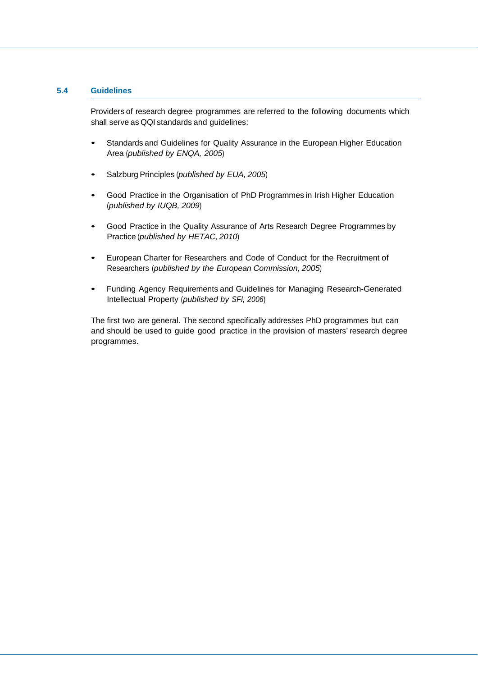#### **5.4 Guidelines**

 Providers of research degree programmes are referred to the following documents which shall serve as QQI standards and guidelines:

- Standards and Guidelines for Quality Assurance in the European Higher Education Area (*published by ENQA, 2005*)
- Salzburg Principles (*published by EUA, 2005*)
- Good Practice in the Organisation of PhD Programmes in Irish Higher Education (*published by IUQB, 2009*)
- Good Practice in the Quality Assurance of Arts Research Degree Programmes by Practice (*published by HETAC, 2010*)
- European Charter for Researchers and Code of Conduct for the Recruitment of Researchers (*published by the European Commission, 2005*)
- Funding Agency Requirements and Guidelines for Managing Research-Generated Intellectual Property (*published by SFI, 2006*)

The first two are general. The second specifically addresses PhD programmes but can and should be used to guide good practice in the provision of masters' research degree programmes.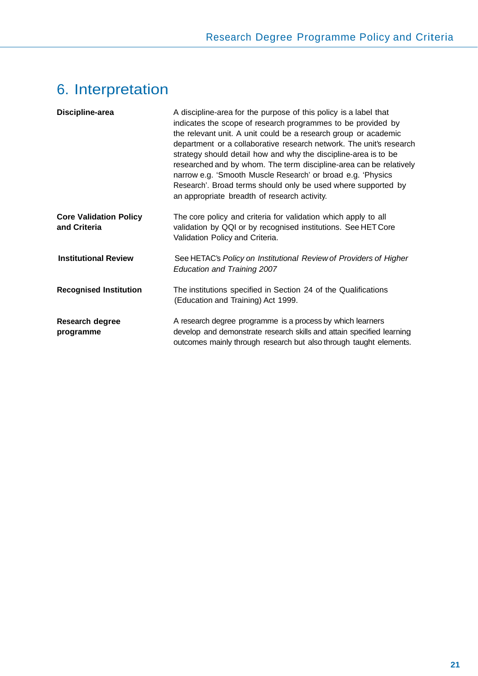# 6. Interpretation

| Discipline-area                               | A discipline-area for the purpose of this policy is a label that<br>indicates the scope of research programmes to be provided by<br>the relevant unit. A unit could be a research group or academic<br>department or a collaborative research network. The unit's research<br>strategy should detail how and why the discipline-area is to be<br>researched and by whom. The term discipline-area can be relatively<br>narrow e.g. 'Smooth Muscle Research' or broad e.g. 'Physics<br>Research'. Broad terms should only be used where supported by<br>an appropriate breadth of research activity. |
|-----------------------------------------------|-----------------------------------------------------------------------------------------------------------------------------------------------------------------------------------------------------------------------------------------------------------------------------------------------------------------------------------------------------------------------------------------------------------------------------------------------------------------------------------------------------------------------------------------------------------------------------------------------------|
| <b>Core Validation Policy</b><br>and Criteria | The core policy and criteria for validation which apply to all<br>validation by QQI or by recognised institutions. See HET Core<br>Validation Policy and Criteria.                                                                                                                                                                                                                                                                                                                                                                                                                                  |
| <b>Institutional Review</b>                   | See HETAC's Policy on Institutional Review of Providers of Higher<br>Education and Training 2007                                                                                                                                                                                                                                                                                                                                                                                                                                                                                                    |
| <b>Recognised Institution</b>                 | The institutions specified in Section 24 of the Qualifications<br>(Education and Training) Act 1999.                                                                                                                                                                                                                                                                                                                                                                                                                                                                                                |
| Research degree<br>programme                  | A research degree programme is a process by which learners<br>develop and demonstrate research skills and attain specified learning<br>outcomes mainly through research but also through taught elements.                                                                                                                                                                                                                                                                                                                                                                                           |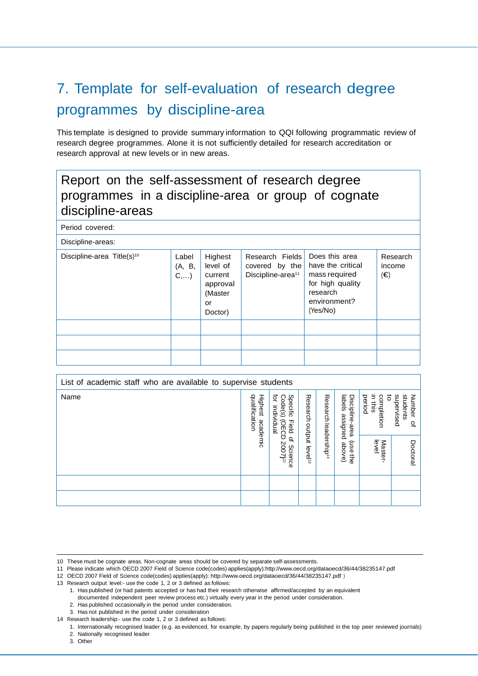# 7. Template for self-evaluation of research degree programmes by discipline-area

This template is designed to provide summary information to QQI following programmatic review of research degree programmes. Alone it is not sufficiently detailed for research accreditation or research approval at new levels or in new areas.

### Report on the self-assessment of research degree programmes in a discipline-area or group of cognate discipline-areas

Period covered:

| Discipline-areas:                      |                        |                                                                        |                                                                    |                                                                                                                  |                                    |  |
|----------------------------------------|------------------------|------------------------------------------------------------------------|--------------------------------------------------------------------|------------------------------------------------------------------------------------------------------------------|------------------------------------|--|
| Discipline-area Title(s) <sup>10</sup> | Label<br>(A, B,<br>C,) | Highest<br>level of<br>current<br>approval<br>(Master<br>or<br>Doctor) | Research Fields<br>covered by the<br>Discipline-area <sup>11</sup> | Does this area<br>have the critical<br>mass required<br>for high quality<br>research<br>environment?<br>(Yes/No) | Research<br>income<br>$(\bigoplus$ |  |
|                                        |                        |                                                                        |                                                                    |                                                                                                                  |                                    |  |
|                                        |                        |                                                                        |                                                                    |                                                                                                                  |                                    |  |
|                                        |                        |                                                                        |                                                                    |                                                                                                                  |                                    |  |

| List of academic staff who are available to supervise students |          |                                                                   |                     |                          |                                       |                                      |                                        |
|----------------------------------------------------------------|----------|-------------------------------------------------------------------|---------------------|--------------------------|---------------------------------------|--------------------------------------|----------------------------------------|
| Name                                                           |          | ਕ੍ਰੋ<br>Specific<br>Code(s)<br>individual<br>OECD<br><b>Field</b> | Research<br>potput  | Research                 | labels<br>Discipline-area<br>assigned | completion<br>in this<br>period<br>ఠ | Number<br>students<br>supervised<br>್ಲ |
|                                                                | academic | $\overline{\sigma}$<br>2007) <sup>12</sup><br>Science             | level <sup>13</sup> | leadership <sup>14</sup> | ensn)<br>above)<br>₿                  | level<br>Master-                     | Doctoral                               |
|                                                                |          |                                                                   |                     |                          |                                       |                                      |                                        |
|                                                                |          |                                                                   |                     |                          |                                       |                                      |                                        |

13 Research output level:- use the code 1, 2 or 3 defined as follows:

3. Other

<sup>10</sup> These must be cognate areas. Non-cognate areas should be covered by separate self-assessments.

<sup>11</sup> Please indicate which OECD 2007 Field of Science code(codes) applies(apply):http://www.oecd.org/dataoecd/36/44/38235147.pdf

<sup>12</sup> OECD 2007 Field of Science code(codes) applies(apply): http://www.oecd.org/dataoecd/36/44/38235147.pdf )

<sup>1.</sup> Has published (or had patents accepted or has had their research otherwise affirmed/accepted by an equivalent

documented independent peer review process etc.) virtually every year in the period under consideration.

<sup>2.</sup> Has published occasionally in the period under consideration.

<sup>3.</sup> Has not published in the period under consideration

<sup>14</sup> Research leadership:- use the code 1, 2 or 3 defined as follows:

<sup>1.</sup> Internationally recognised leader (e.g. as evidenced, for example, by papers regularly being published in the top peer reviewed journals) 2. Nationally recognised leader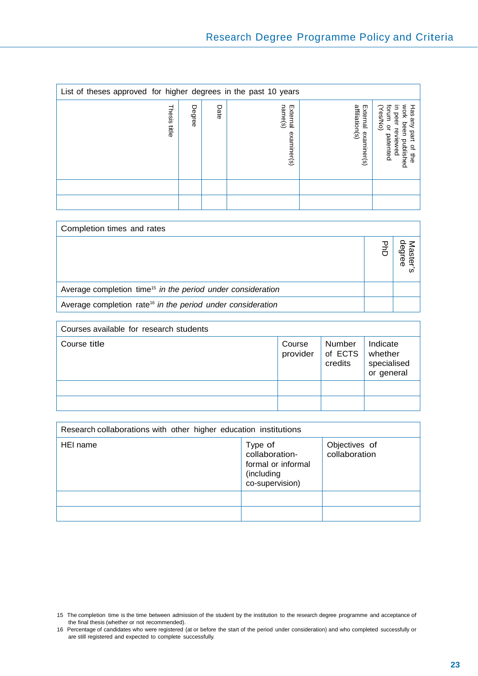| List of theses approved for higher degrees in the past 10 years |        |      |                                    |                                           |                                                                                                                                                     |  |
|-----------------------------------------------------------------|--------|------|------------------------------------|-------------------------------------------|-----------------------------------------------------------------------------------------------------------------------------------------------------|--|
| Thesis<br>들                                                     | Degree | Date | External<br>name(s)<br>examiner(s) | affiliation(s)<br>External<br>examiner(s) | WOrk<br>Has<br>⋾<br>マ<br>orum<br>es/No)<br>peer<br>kue<br>been<br>$\overline{a}$<br>part<br>patented<br>iewed<br>published<br>$\vec{\sigma}$<br>the |  |
|                                                                 |        |      |                                    |                                           |                                                                                                                                                     |  |
|                                                                 |        |      |                                    |                                           |                                                                                                                                                     |  |

| Completion times and rates                                              |   |
|-------------------------------------------------------------------------|---|
|                                                                         | ወ |
| Average completion time <sup>15</sup> in the period under consideration |   |
| Average completion rate <sup>16</sup> in the period under consideration |   |

| Courses available for research students |                    |                              |                                                  |  |
|-----------------------------------------|--------------------|------------------------------|--------------------------------------------------|--|
| Course title                            | Course<br>provider | Number<br>of ECTS<br>credits | Indicate<br>whether<br>specialised<br>or general |  |
|                                         |                    |                              |                                                  |  |
|                                         |                    |                              |                                                  |  |

| Research collaborations with other higher education institutions |                                                                                  |                                |  |  |
|------------------------------------------------------------------|----------------------------------------------------------------------------------|--------------------------------|--|--|
| HEI name                                                         | Type of<br>collaboration-<br>formal or informal<br>(including<br>co-supervision) | Objectives of<br>collaboration |  |  |
|                                                                  |                                                                                  |                                |  |  |
|                                                                  |                                                                                  |                                |  |  |

<sup>15</sup> The completion time is the time between admission of the student by the institution to the research degree programme and acceptance of the final thesis (whether or not recommended).

<sup>16</sup> Percentage of candidates who were registered (at or before the start of the period under consideration) and who completed successfully or are still registered and expected to complete successfully.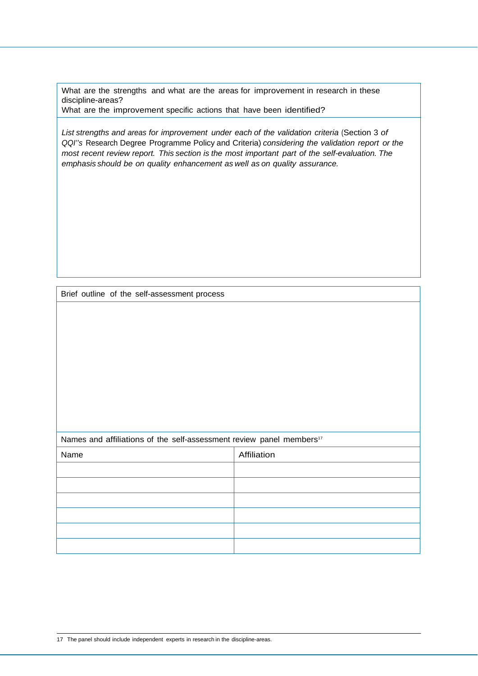What are the strengths and what are the areas for improvement in research in these discipline-areas?

What are the improvement specific actions that have been identified?

List strengths and areas for improvement under each of the validation criteria (Section 3 of *QQI''s* Research Degree Programme Policy and Criteria) *considering the validation report or the most recent review report. This section is the most important part of the self-evaluation. The emphasis should be on quality enhancement as well as on quality assurance.*

Brief outline of the self-assessment process

#### Names and affiliations of the self-assessment review panel members<sup>17</sup>

| Name | Affiliation |
|------|-------------|
|      |             |
|      |             |
|      |             |
|      |             |
|      |             |
|      |             |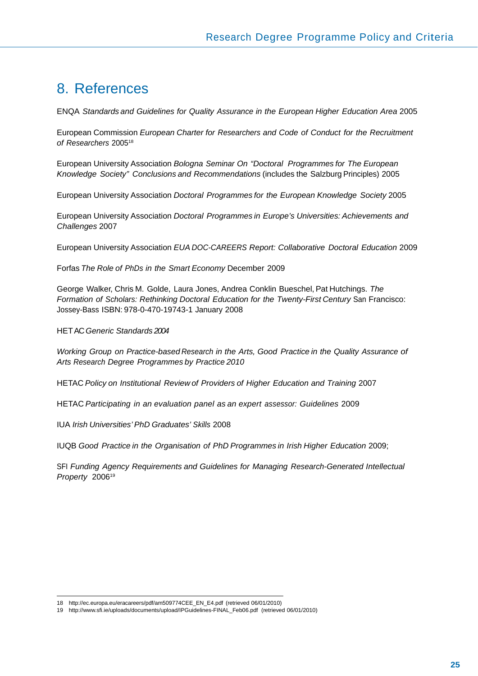### 8. References

ENQA *Standards and Guidelines for Quality Assurance in the European Higher Education Area* 2005

European Commission *European Charter for Researchers and Code of Conduct for the Recruitment of Researchers* 200518

European University Association *Bologna Seminar On "Doctoral Programmes for The European Knowledge Society" Conclusions and Recommendations* (includes the Salzburg Principles) 2005

European University Association *Doctoral Programmes for the European Knowledge Society* 2005

European University Association *Doctoral Programmes in Europe's Universities: Achievements and Challenges* 2007

European University Association *EUA DOC-CAREERS Report: Collaborative Doctoral Education* 2009

Forfas *The Role of PhDs in the Smart Economy* December 2009

George Walker, Chris M. Golde, Laura Jones, Andrea Conklin Bueschel, Pat Hutchings. *The*  Formation of Scholars: Rethinking Doctoral Education for the Twenty-First Century San Francisco: Jossey-Bass ISBN: 978-0-470-19743-1 January 2008

HET AC *Generic Standards 2004*

*Working Group on Practice-based Research in the Arts, Good Practice in the Quality Assurance of Arts Research Degree Programmes by Practice 2010* 

HETAC *Policy on Institutional Review of Providers of Higher Education and Training* 2007

HETAC *Participating in an evaluation panel as an expert assessor: Guidelines* 2009

IUA *Irish Universities' PhD Graduates' Skills* 2008

IUQB Good Practice in the Organisation of PhD Programmes in Irish Higher Education 2009;

SFI *Funding Agency Requirements and Guidelines for Managing Research-Generated Intellectual Property* 200619

<sup>18</sup> http://ec.europa.eu/eracareers/pdf/am509774CEE\_EN\_E4.pdf (retrieved 06/01/2010)

<sup>19</sup> http://www.sfi.ie/uploads/documents/upload/IPGuidelines-FINAL\_Feb06.pdf (retrieved 06/01/2010)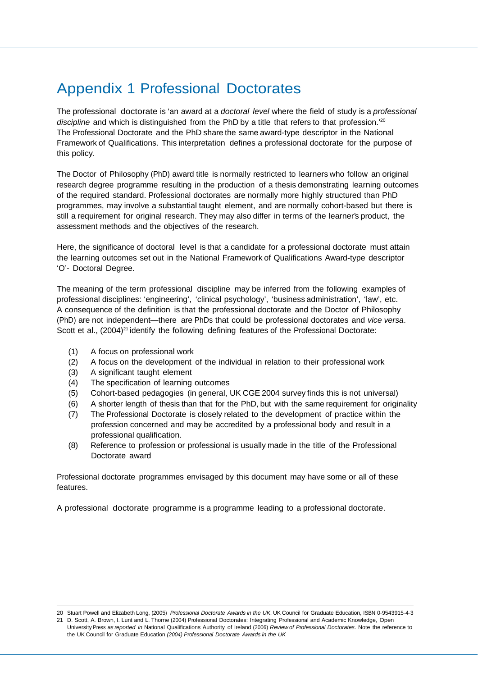## Appendix 1 Professional Doctorates

The professional doctorate is 'an award at a *doctoral level* where the field of study is a *professional*  discipline and which is distinguished from the PhD by a title that refers to that profession.<sup>'20</sup> The Professional Doctorate and the PhD share the same award-type descriptor in the National Framework of Qualifications. This interpretation defines a professional doctorate for the purpose of this policy.

The Doctor of Philosophy (PhD) award title is normally restricted to learners who follow an original research degree programme resulting in the production of a thesis demonstrating learning outcomes of the required standard. Professional doctorates are normally more highly structured than PhD programmes, may involve a substantial taught element, and are normally cohort-based but there is still a requirement for original research. They may also differ in terms of the learner's product, the assessment methods and the objectives of the research.

Here, the significance of doctoral level is that a candidate for a professional doctorate must attain the learning outcomes set out in the National Framework of Qualifications Award-type descriptor 'O'- Doctoral Degree.

The meaning of the term professional discipline may be inferred from the following examples of professional disciplines: 'engineering', 'clinical psychology', 'business administration', 'law', etc. A consequence of the definition is that the professional doctorate and the Doctor of Philosophy (PhD) are not independent—there are PhDs that could be professional doctorates and *vice versa*. Scott et al.,  $(2004)^{21}$  identify the following defining features of the Professional Doctorate:

- (1) A focus on professional work
- (2) A focus on the development of the individual in relation to their professional work
- (3) A significant taught element
- (4) The specification of learning outcomes
- (5) Cohort-based pedagogies (in general, UK CGE 2004 survey finds this is not universal)
- (6) A shorter length of thesis than that for the PhD, but with the same requirement for originality
- (7) The Professional Doctorate is closely related to the development of practice within the profession concerned and may be accredited by a professional body and result in a professional qualification.
- (8) Reference to profession or professional is usually made in the title of the Professional Doctorate award

Professional doctorate programmes envisaged by this document may have some or all of these features.

A professional doctorate programme is a programme leading to a professional doctorate.

<sup>20</sup> Stuart Powell and Elizabeth Long, (2005) *Professional Doctorate Awards in the UK*, UK Council for Graduate Education, ISBN 0-9543915-4-3 21 D. Scott, A. Brown, I. Lunt and L. Thorne (2004) Professional Doctorates: Integrating Professional and Academic Knowledge, Open University Press *as reported in* National Qualifications Authority of Ireland (2006) *Review of Professional Doctorates*. Note the reference to the UK Council for Graduate Education *(2004) Professional Doctorate Awards in the UK*